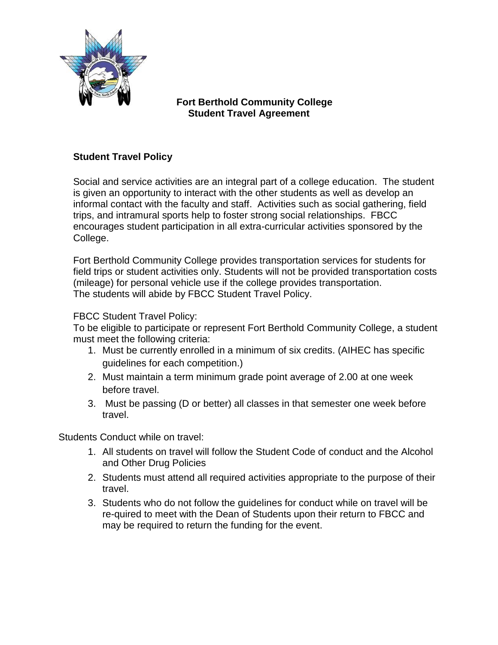

## **Fort Berthold Community College Student Travel Agreement**

## **Student Travel Policy**

Social and service activities are an integral part of a college education. The student is given an opportunity to interact with the other students as well as develop an informal contact with the faculty and staff. Activities such as social gathering, field trips, and intramural sports help to foster strong social relationships. FBCC encourages student participation in all extra-curricular activities sponsored by the College.

Fort Berthold Community College provides transportation services for students for field trips or student activities only. Students will not be provided transportation costs (mileage) for personal vehicle use if the college provides transportation. The students will abide by FBCC Student Travel Policy.

## FBCC Student Travel Policy:

To be eligible to participate or represent Fort Berthold Community College, a student must meet the following criteria:

- 1. Must be currently enrolled in a minimum of six credits. (AIHEC has specific guidelines for each competition.)
- 2. Must maintain a term minimum grade point average of 2.00 at one week before travel.
- 3. Must be passing (D or better) all classes in that semester one week before travel.

Students Conduct while on travel:

- 1. All students on travel will follow the Student Code of conduct and the Alcohol and Other Drug Policies
- 2. Students must attend all required activities appropriate to the purpose of their travel.
- 3. Students who do not follow the guidelines for conduct while on travel will be re-quired to meet with the Dean of Students upon their return to FBCC and may be required to return the funding for the event.